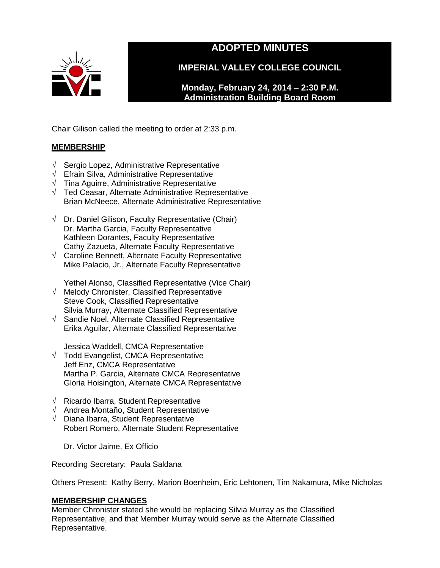

# **ADOPTED MINUTES**

**IMPERIAL VALLEY COLLEGE COUNCIL**

**Monday, February 24, 2014 – 2:30 P.M. Administration Building Board Room** 

Chair Gilison called the meeting to order at 2:33 p.m.

# **MEMBERSHIP**

- √ Sergio Lopez, Administrative Representative
- √ Efrain Silva, Administrative Representative
- $\sqrt{\phantom{a}}$  Tina Aguirre, Administrative Representative
- √ Ted Ceasar, Alternate Administrative Representative Brian McNeece, Alternate Administrative Representative
- $\sqrt{\phantom{a}}$  Dr. Daniel Gilison, Faculty Representative (Chair) Dr. Martha Garcia, Faculty Representative Kathleen Dorantes, Faculty Representative Cathy Zazueta, Alternate Faculty Representative
- √ Caroline Bennett, Alternate Faculty Representative Mike Palacio, Jr., Alternate Faculty Representative

Yethel Alonso, Classified Representative (Vice Chair)

- √ Melody Chronister, Classified Representative Steve Cook, Classified Representative Silvia Murray, Alternate Classified Representative
- √ Sandie Noel, Alternate Classified Representative Erika Aguilar, Alternate Classified Representative

Jessica Waddell, CMCA Representative

- √ Todd Evangelist, CMCA Representative Jeff Enz, CMCA Representative Martha P. Garcia, Alternate CMCA Representative Gloria Hoisington, Alternate CMCA Representative
- √ Ricardo Ibarra, Student Representative
- √ Andrea Montaño, Student Representative
- √ Diana Ibarra, Student Representative Robert Romero, Alternate Student Representative

Dr. Victor Jaime, Ex Officio

Recording Secretary: Paula Saldana

Others Present: Kathy Berry, Marion Boenheim, Eric Lehtonen, Tim Nakamura, Mike Nicholas

# **MEMBERSHIP CHANGES**

Member Chronister stated she would be replacing Silvia Murray as the Classified Representative, and that Member Murray would serve as the Alternate Classified Representative.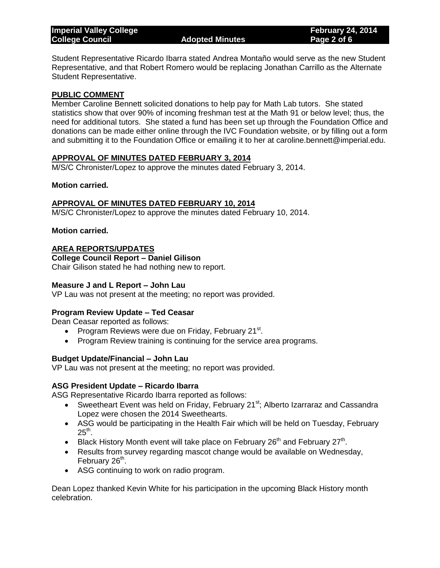Student Representative Ricardo Ibarra stated Andrea Montaño would serve as the new Student Representative, and that Robert Romero would be replacing Jonathan Carrillo as the Alternate Student Representative.

# **PUBLIC COMMENT**

Member Caroline Bennett solicited donations to help pay for Math Lab tutors. She stated statistics show that over 90% of incoming freshman test at the Math 91 or below level; thus, the need for additional tutors. She stated a fund has been set up through the Foundation Office and donations can be made either online through the IVC Foundation website, or by filling out a form and submitting it to the Foundation Office or emailing it to her at caroline.bennett@imperial.edu.

# **APPROVAL OF MINUTES DATED FEBRUARY 3, 2014**

M/S/C Chronister/Lopez to approve the minutes dated February 3, 2014.

### **Motion carried.**

### **APPROVAL OF MINUTES DATED FEBRUARY 10, 2014**

M/S/C Chronister/Lopez to approve the minutes dated February 10, 2014.

### **Motion carried.**

# **AREA REPORTS/UPDATES**

**College Council Report – Daniel Gilison**

Chair Gilison stated he had nothing new to report.

#### **Measure J and L Report – John Lau**

VP Lau was not present at the meeting; no report was provided.

# **Program Review Update – Ted Ceasar**

Dean Ceasar reported as follows:

- Program Reviews were due on Friday, February 21<sup>st</sup>.
- Program Review training is continuing for the service area programs.

#### **Budget Update/Financial – John Lau**

VP Lau was not present at the meeting; no report was provided.

#### **ASG President Update – Ricardo Ibarra**

ASG Representative Ricardo Ibarra reported as follows:

- Sweetheart Event was held on Friday, February  $21^{st}$ ; Alberto Izarraraz and Cassandra Lopez were chosen the 2014 Sweethearts.
- ASG would be participating in the Health Fair which will be held on Tuesday, February  $25^{\text{th}}$ .
- Black History Month event will take place on February 26<sup>th</sup> and February 27<sup>th</sup>.
- Results from survey regarding mascot change would be available on Wednesday, February 26<sup>th</sup>.
- ASG continuing to work on radio program.

Dean Lopez thanked Kevin White for his participation in the upcoming Black History month celebration.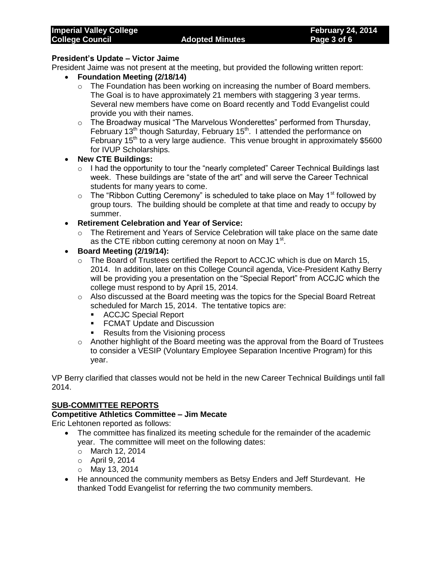### **President's Update – Victor Jaime**

President Jaime was not present at the meeting, but provided the following written report:

- **Foundation Meeting (2/18/14)**
	- o The Foundation has been working on increasing the number of Board members. The Goal is to have approximately 21 members with staggering 3 year terms. Several new members have come on Board recently and Todd Evangelist could provide you with their names.
	- o The Broadway musical "The Marvelous Wonderettes" performed from Thursday, February 13<sup>th</sup> though Saturday, February 15<sup>th</sup>. I attended the performance on February  $15<sup>th</sup>$  to a very large audience. This venue brought in approximately \$5600 for IVUP Scholarships.
- **New CTE Buildings:**
	- $\circ$  I had the opportunity to tour the "nearly completed" Career Technical Buildings last week. These buildings are "state of the art" and will serve the Career Technical students for many years to come.
	- $\circ$  The "Ribbon Cutting Ceremony" is scheduled to take place on May 1<sup>st</sup> followed by group tours. The building should be complete at that time and ready to occupy by summer.
- **Retirement Celebration and Year of Service:**
	- $\circ$  The Retirement and Years of Service Celebration will take place on the same date as the CTE ribbon cutting ceremony at noon on May 1<sup>st</sup>.
- **Board Meeting (2/19/14):**
	- o The Board of Trustees certified the Report to ACCJC which is due on March 15, 2014. In addition, later on this College Council agenda, Vice-President Kathy Berry will be providing you a presentation on the "Special Report" from ACCJC which the college must respond to by April 15, 2014.
	- $\circ$  Also discussed at the Board meeting was the topics for the Special Board Retreat scheduled for March 15, 2014. The tentative topics are:
		- ACCJC Special Report
		- **FCMAT Update and Discussion**
		- Results from the Visioning process
	- $\circ$  Another highlight of the Board meeting was the approval from the Board of Trustees to consider a VESIP (Voluntary Employee Separation Incentive Program) for this year.

VP Berry clarified that classes would not be held in the new Career Technical Buildings until fall 2014.

# **SUB-COMMITTEE REPORTS**

### **Competitive Athletics Committee – Jim Mecate**

Eric Lehtonen reported as follows:

- The committee has finalized its meeting schedule for the remainder of the academic year. The committee will meet on the following dates:
	- o March 12, 2014
	- o April 9, 2014
	- o May 13, 2014
- He announced the community members as Betsy Enders and Jeff Sturdevant. He thanked Todd Evangelist for referring the two community members.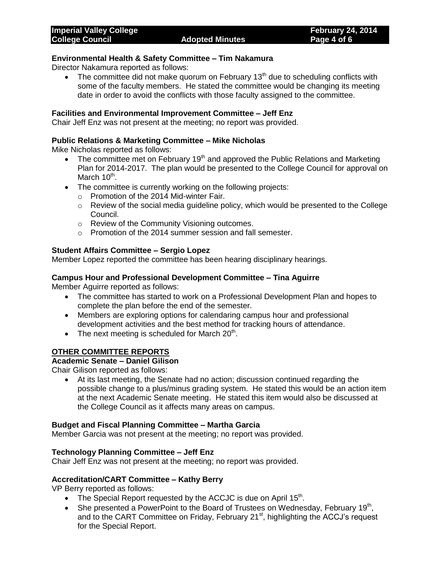### **Environmental Health & Safety Committee – Tim Nakamura**

Director Nakamura reported as follows:

• The committee did not make quorum on February  $13<sup>th</sup>$  due to scheduling conflicts with some of the faculty members. He stated the committee would be changing its meeting date in order to avoid the conflicts with those faculty assigned to the committee.

#### **Facilities and Environmental Improvement Committee – Jeff Enz**

Chair Jeff Enz was not present at the meeting; no report was provided.

#### **Public Relations & Marketing Committee – Mike Nicholas**

Mike Nicholas reported as follows:

- The committee met on February 19<sup>th</sup> and approved the Public Relations and Marketing Plan for 2014-2017. The plan would be presented to the College Council for approval on March 10<sup>th</sup>.
- The committee is currently working on the following projects:
	- o Promotion of the 2014 Mid-winter Fair.
	- o Review of the social media guideline policy, which would be presented to the College Council.
	- o Review of the Community Visioning outcomes.
	- o Promotion of the 2014 summer session and fall semester.

### **Student Affairs Committee – Sergio Lopez**

Member Lopez reported the committee has been hearing disciplinary hearings.

### **Campus Hour and Professional Development Committee – Tina Aguirre**

Member Aguirre reported as follows:

- The committee has started to work on a Professional Development Plan and hopes to complete the plan before the end of the semester.
- Members are exploring options for calendaring campus hour and professional development activities and the best method for tracking hours of attendance.
- The next meeting is scheduled for March  $20<sup>th</sup>$ .

# **OTHER COMMITTEE REPORTS**

### **Academic Senate – Daniel Gilison**

Chair Gilison reported as follows:

 At its last meeting, the Senate had no action; discussion continued regarding the possible change to a plus/minus grading system. He stated this would be an action item at the next Academic Senate meeting. He stated this item would also be discussed at the College Council as it affects many areas on campus.

#### **Budget and Fiscal Planning Committee – Martha Garcia**

Member Garcia was not present at the meeting; no report was provided.

#### **Technology Planning Committee – Jeff Enz**

Chair Jeff Enz was not present at the meeting; no report was provided.

#### **Accreditation/CART Committee – Kathy Berry**

VP Berry reported as follows:

- The Special Report requested by the ACCJC is due on April  $15<sup>th</sup>$ .
- She presented a PowerPoint to the Board of Trustees on Wednesday, February 19<sup>th</sup>, and to the CART Committee on Friday, February 21<sup>st</sup>, highlighting the ACCJ's request for the Special Report.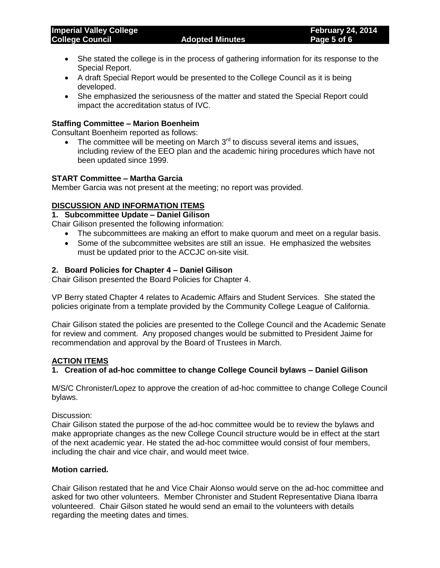- She stated the college is in the process of gathering information for its response to the Special Report.
- A draft Special Report would be presented to the College Council as it is being developed.
- She emphasized the seriousness of the matter and stated the Special Report could impact the accreditation status of IVC.

# **Staffing Committee – Marion Boenheim**

Consultant Boenheim reported as follows:

The committee will be meeting on March  $3<sup>rd</sup>$  to discuss several items and issues, including review of the EEO plan and the academic hiring procedures which have not been updated since 1999.

### **START Committee – Martha Garcia**

Member Garcia was not present at the meeting; no report was provided.

# **DISCUSSION AND INFORMATION ITEMS**

### **1. Subcommittee Update – Daniel Gilison**

Chair Gilison presented the following information:

- The subcommittees are making an effort to make quorum and meet on a regular basis.
- Some of the subcommittee websites are still an issue. He emphasized the websites must be updated prior to the ACCJC on-site visit.

### **2. Board Policies for Chapter 4 – Daniel Gilison**

Chair Gilison presented the Board Policies for Chapter 4.

VP Berry stated Chapter 4 relates to Academic Affairs and Student Services. She stated the policies originate from a template provided by the Community College League of California.

Chair Gilison stated the policies are presented to the College Council and the Academic Senate for review and comment. Any proposed changes would be submitted to President Jaime for recommendation and approval by the Board of Trustees in March.

# **ACTION ITEMS**

# **1. Creation of ad-hoc committee to change College Council bylaws – Daniel Gilison**

M/S/C Chronister/Lopez to approve the creation of ad-hoc committee to change College Council bylaws.

Discussion:

Chair Gilison stated the purpose of the ad-hoc committee would be to review the bylaws and make appropriate changes as the new College Council structure would be in effect at the start of the next academic year. He stated the ad-hoc committee would consist of four members, including the chair and vice chair, and would meet twice.

#### **Motion carried.**

Chair Gilison restated that he and Vice Chair Alonso would serve on the ad-hoc committee and asked for two other volunteers. Member Chronister and Student Representative Diana Ibarra volunteered. Chair Gilson stated he would send an email to the volunteers with details regarding the meeting dates and times.